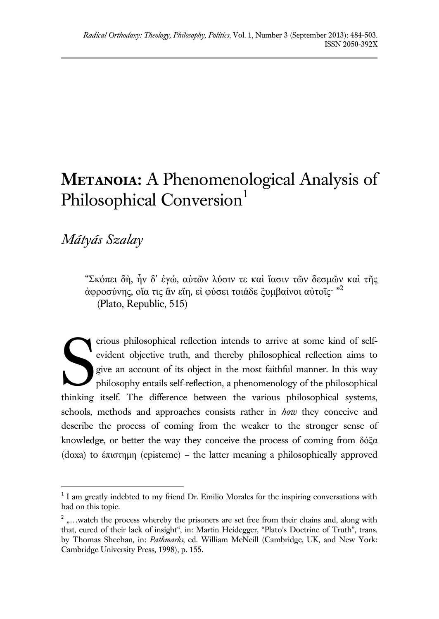# **METANOIA:** A Phenomenological Analysis of Philosophical Conversion<sup>1</sup>

*Mátyás Szalay*

 $\overline{a}$ 

"Σκόπει δὴ, ἦν δ' ἐγώ, αὐτῶν λύσιν τε καὶ ἴασιν τῶν δεσμῶν καὶ τῆς άφροσύνης, οἵα τις ἂν εἴη, εἰ φύσει τοιάδε ξυμβαίνοι αὐτοῖς<sup>. »2</sup> (Plato, Republic, 515)

erious philosophical reflection intends to arrive at some kind of selfevident objective truth, and thereby philosophical reflection aims to give an account of its object in the most faithful manner. In this way philosophy entails self-reflection, a phenomenology of the philosophical thinking itself. The difference between the various philosophical systems, schools, methods and approaches consists rather in *how* they conceive and describe the process of coming from the weaker to the stronger sense of knowledge, or better the way they conceive the process of coming from δόξα (doxa) to έπιστημη (episteme) – the latter meaning a philosophically approved S

 $<sup>1</sup>$  I am greatly indebted to my friend Dr. Emilio Morales for the inspiring conversations with</sup> had on this topic.

 $2<sup>2</sup>$  ,...watch the process whereby the prisoners are set free from their chains and, along with that, cured of their lack of insight", in: Martin Heidegger, "Plato's Doctrine of Truth", trans. by Thomas Sheehan, in: *Pathmarks*, ed. William McNeill (Cambridge, UK, and New York: Cambridge University Press, 1998), p. 155.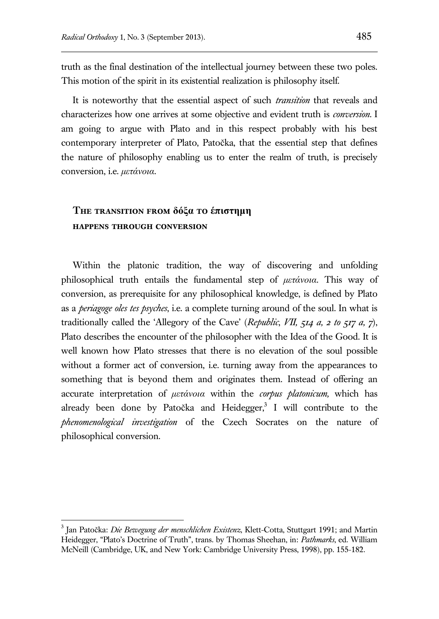truth as the final destination of the intellectual journey between these two poles. This motion of the spirit in its existential realization is philosophy itself.

It is noteworthy that the essential aspect of such *transition* that reveals and characterizes how one arrives at some objective and evident truth is *conversion*. I am going to argue with Plato and in this respect probably with his best contemporary interpreter of Plato, Patočka, that the essential step that defines the nature of philosophy enabling us to enter the realm of truth, is precisely conversion, i.e. *μετάνοια*.

# **The transition from δόξα to έπιστημη happens through conversion**

 $\overline{a}$ 

Within the platonic tradition, the way of discovering and unfolding philosophical truth entails the fundamental step of *μετάνοια.* This way of conversion, as prerequisite for any philosophical knowledge, is defined by Plato as a *periagoge oles tes psyches*, i.e. a complete turning around of the soul. In what is traditionally called the 'Allegory of the Cave' (*Republic*, *VII, 514 a, 2 to 517 a, 7*), Plato describes the encounter of the philosopher with the Idea of the Good. It is well known how Plato stresses that there is no elevation of the soul possible without a former act of conversion, i.e. turning away from the appearances to something that is beyond them and originates them. Instead of offering an accurate interpretation of *μετάνοια* within the *corpus platonicum,* which has already been done by Patočka and Heidegger,<sup>3</sup> I will contribute to the *phenomenological investigation* of the Czech Socrates on the nature of philosophical conversion.

<sup>3</sup> Jan Patočka: *Die Bewegung der menschlichen Existenz*, Klett-Cotta, Stuttgart 1991; and Martin Heidegger, "Plato's Doctrine of Truth", trans. by Thomas Sheehan, in: *Pathmarks*, ed. William McNeill (Cambridge, UK, and New York: Cambridge University Press, 1998), pp. 155-182.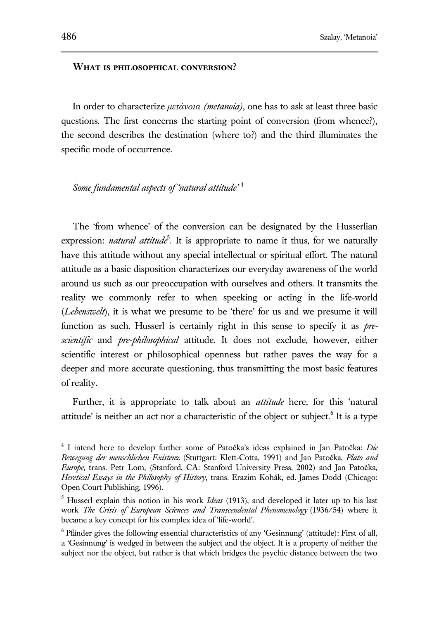#### **What is philosophical conversion?**

In order to characterize *μετάνοια (metanoia)*, one has to ask at least three basic questions. The first concerns the starting point of conversion (from whence?), the second describes the destination (where to?) and the third illuminates the specific mode of occurrence.

*Some fundamental aspects of 'natural attitude'* <sup>4</sup>

The 'from whence' of the conversion can be designated by the Husserlian expression: *natural attitude*<sup>5</sup>. It is appropriate to name it thus, for we naturally have this attitude without any special intellectual or spiritual effort. The natural attitude as a basic disposition characterizes our everyday awareness of the world around us such as our preoccupation with ourselves and others. It transmits the reality we commonly refer to when speeking or acting in the life-world (*Lebenswelt*), it is what we presume to be 'there' for us and we presume it will function as such. Husserl is certainly right in this sense to specify it as *prescientific* and *pre-philosophical* attitude. It does not exclude, however, either scientific interest or philosophical openness but rather paves the way for a deeper and more accurate questioning, thus transmitting the most basic features of reality.

Further, it is appropriate to talk about an *attitude* here, for this 'natural attitude' is neither an act nor a characteristic of the object or subject.<sup>6</sup> It is a type

<sup>4</sup> I intend here to develop further some of Patočka's ideas explained in Jan Patočka: *Die Bewegung der menschlichen Existenz* (Stuttgart: Klett-Cotta, 1991) and Jan Patočka, *Plato and Europe*, trans. Petr Lom, (Stanford, CA: Stanford University Press, 2002) and Jan Patočka, *Heretical Essays in the Philosophy of History*, trans. Erazim Kohák, ed. James Dodd (Chicago: Open Court Publishing, 1996).

<sup>5</sup> Husserl explain this notion in his work *Ideas* (1913), and developed it later up to his last work *The Crisis of European Sciences and Transcendental Phenomenology* (1936/54) where it became a key concept for his complex idea of 'life-world'.

<sup>&</sup>lt;sup>6</sup> Pfänder gives the following essential characteristics of any 'Gesinnung' (attitude): First of all, a 'Gesinnung' is wedged in between the subject and the object. It is a property of neither the subject nor the object, but rather is that which bridges the psychic distance between the two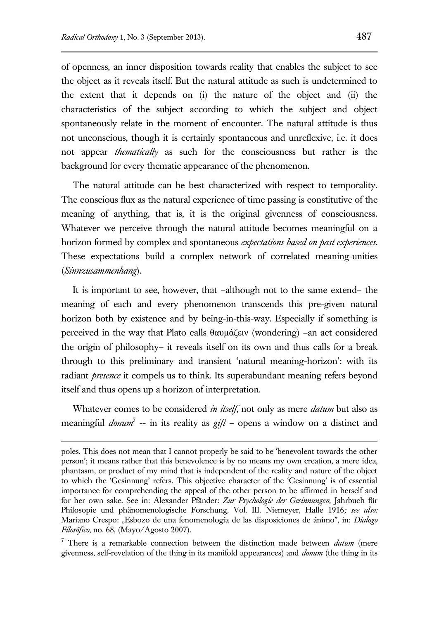$\overline{a}$ 

of openness, an inner disposition towards reality that enables the subject to see the object as it reveals itself. But the natural attitude as such is undetermined to the extent that it depends on (i) the nature of the object and (ii) the characteristics of the subject according to which the subject and object spontaneously relate in the moment of encounter. The natural attitude is thus not unconscious, though it is certainly spontaneous and unreflexive, i.e. it does not appear *thematically* as such for the consciousness but rather is the background for every thematic appearance of the phenomenon.

The natural attitude can be best characterized with respect to temporality. The conscious flux as the natural experience of time passing is constitutive of the meaning of anything, that is, it is the original givenness of consciousness. Whatever we perceive through the natural attitude becomes meaningful on a horizon formed by complex and spontaneous *expectations based on past experiences*. These expectations build a complex network of correlated meaning-unities (*Sinnzusammenhang*).

It is important to see, however, that –although not to the same extend– the meaning of each and every phenomenon transcends this pre-given natural horizon both by existence and by being-in-this-way. Especially if something is perceived in the way that Plato calls θαυμάζειν (wondering) –an act considered the origin of philosophy– it reveals itself on its own and thus calls for a break through to this preliminary and transient 'natural meaning-horizon': with its radiant *presence* it compels us to think. Its superabundant meaning refers beyond itself and thus opens up a horizon of interpretation.

Whatever comes to be considered *in itself*, not only as mere *datum* but also as meaningful *donum*<sup>7</sup> -- in its reality as  $gif$  - opens a window on a distinct and

poles. This does not mean that I cannot properly be said to be 'benevolent towards the other person'; it means rather that this benevolence is by no means my own creation, a mere idea, phantasm, or product of my mind that is independent of the reality and nature of the object to which the 'Gesinnung' refers. This objective character of the 'Gesinnung' is of essential importance for comprehending the appeal of the other person to be affirmed in herself and for her own sake. See in: Alexander Pfänder: *Zur Psychologie der Gesinnungen,* Jahrbuch für Philosopie und phänomenologische Forschung*,* Vol. III. Niemeyer, Halle 1916*; see also:*  Mariano Crespo: "Esbozo de una fenomenología de las disposiciones de ánimo", in: *Dialogo Filosófico*, no. 68, (Mayo/Agosto 2007).

<sup>7</sup> There is a remarkable connection between the distinction made between *datum* (mere givenness, self-revelation of the thing in its manifold appearances) and *donum* (the thing in its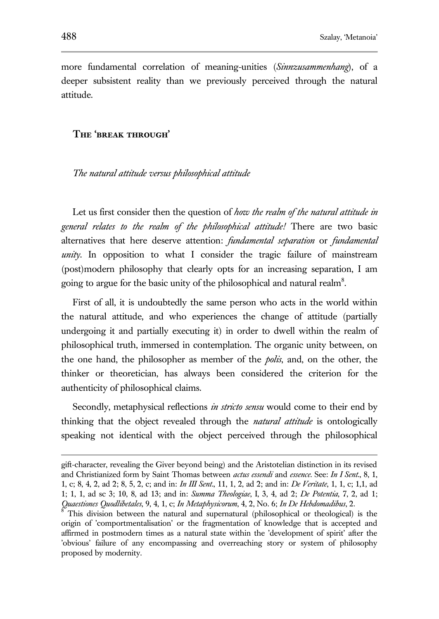more fundamental correlation of meaning-unities (*Sinnzusammenhang*), of a deeper subsistent reality than we previously perceived through the natural attitude.

## **The 'break through'**

*The natural attitude versus philosophical attitude* 

Let us first consider then the question of *how the realm of the natural attitude in general relates to the realm of the philosophical attitude!* There are two basic alternatives that here deserve attention: *fundamental separation* or *fundamental unity*. In opposition to what I consider the tragic failure of mainstream (post)modern philosophy that clearly opts for an increasing separation, I am going to argue for the basic unity of the philosophical and natural realm<sup>8</sup>.

First of all, it is undoubtedly the same person who acts in the world within the natural attitude, and who experiences the change of attitude (partially undergoing it and partially executing it) in order to dwell within the realm of philosophical truth, immersed in contemplation. The organic unity between, on the one hand, the philosopher as member of the *polis*, and, on the other, the thinker or theoretician, has always been considered the criterion for the authenticity of philosophical claims.

Secondly, metaphysical reflections *in stricto sensu* would come to their end by thinking that the object revealed through the *natural attitude* is ontologically speaking not identical with the object perceived through the philosophical

gift-character, revealing the Giver beyond being) and the Aristotelian distinction in its revised and Christianized form by Saint Thomas between *actus essendi* and *essence*. See: *In I Sent*., 8, 1, 1, c; 8, 4, 2, ad 2; 8, 5, 2, c; and in: *In III Sent*., 11, 1, 2, ad 2; and in: *De Veritate*, 1, 1, c; 1,1, ad 1; 1, 1, ad sc 3; 10, 8, ad 13; and in: *Summa Theologiae*, I, 3, 4, ad 2; *De Potentia*, 7, 2, ad 1; *Quaestiones Quodlibetales*, 9, 4, 1, c; *In Metaphysicorum*, 4, 2, No. 6; *In De Hebdomadibus*, 2.

 $8^{\circ}$  This division between the natural and supernatural (philosophical or theological) is the origin of 'comportmentalisation' or the fragmentation of knowledge that is accepted and affirmed in postmodern times as a natural state within the 'development of spirit' after the 'obvious' failure of any encompassing and overreaching story or system of philosophy proposed by modernity.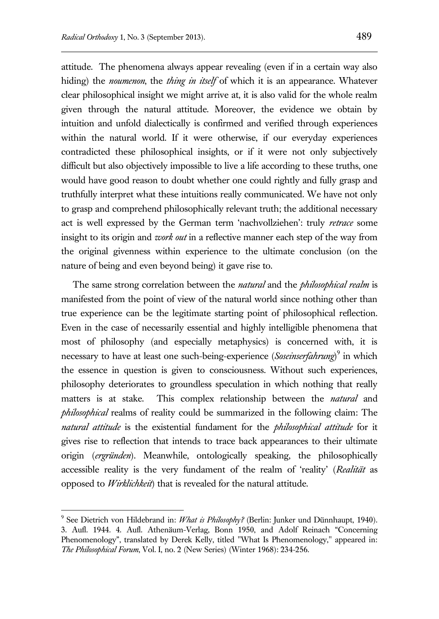attitude. The phenomena always appear revealing (even if in a certain way also hiding) the *noumenon*, the *thing in itself* of which it is an appearance. Whatever clear philosophical insight we might arrive at, it is also valid for the whole realm given through the natural attitude. Moreover, the evidence we obtain by intuition and unfold dialectically is confirmed and verified through experiences within the natural world. If it were otherwise, if our everyday experiences contradicted these philosophical insights, or if it were not only subjectively difficult but also objectively impossible to live a life according to these truths, one would have good reason to doubt whether one could rightly and fully grasp and truthfully interpret what these intuitions really communicated. We have not only to grasp and comprehend philosophically relevant truth; the additional necessary act is well expressed by the German term 'nachvollziehen': truly *retrace* some insight to its origin and *work out* in a reflective manner each step of the way from the original givenness within experience to the ultimate conclusion (on the nature of being and even beyond being) it gave rise to.

The same strong correlation between the *natural* and the *philosophical realm* is manifested from the point of view of the natural world since nothing other than true experience can be the legitimate starting point of philosophical reflection. Even in the case of necessarily essential and highly intelligible phenomena that most of philosophy (and especially metaphysics) is concerned with, it is necessary to have at least one such-being-experience (*Soseinserfahrung*)<sup>9</sup> in which the essence in question is given to consciousness. Without such experiences, philosophy deteriorates to groundless speculation in which nothing that really matters is at stake. This complex relationship between the *natural* and *philosophical* realms of reality could be summarized in the following claim: The *natural attitude* is the existential fundament for the *philosophical attitude* for it gives rise to reflection that intends to trace back appearances to their ultimate origin (*ergründen*). Meanwhile, ontologically speaking, the philosophically accessible reality is the very fundament of the realm of 'reality' (*Realität* as opposed to *Wirklichkeit*) that is revealed for the natural attitude.

<sup>9</sup> See Dietrich von Hildebrand in: *What is Philosophy?* (Berlin: Junker und Dünnhaupt, 1940). 3. Aufl. 1944. 4. Aufl. Athenäum-Verlag, Bonn 1950, and Adolf Reinach "Concerning Phenomenology", translated by Derek Kelly, titled "What Is Phenomenology," appeared in: *The Philosophical Forum*, Vol. I, no. 2 (New Series) (Winter 1968): 234-256.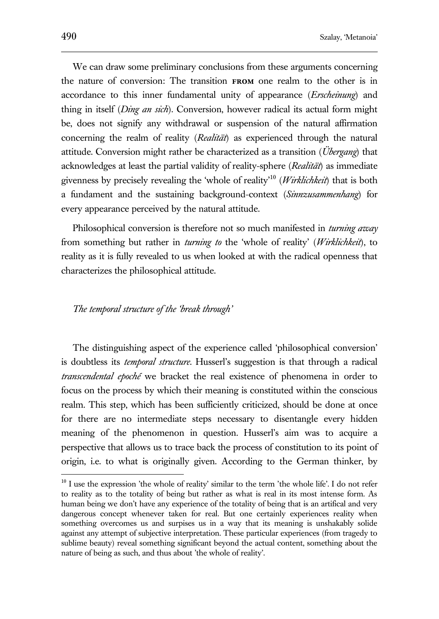We can draw some preliminary conclusions from these arguments concerning the nature of conversion: The transition **from** one realm to the other is in accordance to this inner fundamental unity of appearance (*Erscheinung*) and thing in itself (*Ding an sich*). Conversion, however radical its actual form might be, does not signify any withdrawal or suspension of the natural affirmation concerning the realm of reality (*Realität*) as experienced through the natural attitude. Conversion might rather be characterized as a transition (*Übergang*) that acknowledges at least the partial validity of reality-sphere (*Realität*) as immediate givenness by precisely revealing the 'whole of reality'<sup>10</sup> (*Wirklichkeit*) that is both a fundament and the sustaining background-context (*Sinnzusammenhang*) for every appearance perceived by the natural attitude.

Philosophical conversion is therefore not so much manifested in *turning away* from something but rather in *turning to* the 'whole of reality' (*Wirklichkeit*), to reality as it is fully revealed to us when looked at with the radical openness that characterizes the philosophical attitude.

#### *The temporal structure of the 'break through'*

The distinguishing aspect of the experience called 'philosophical conversion' is doubtless its *temporal structure*. Husserl's suggestion is that through a radical *transcendental epoché* we bracket the real existence of phenomena in order to focus on the process by which their meaning is constituted within the conscious realm. This step, which has been sufficiently criticized, should be done at once for there are no intermediate steps necessary to disentangle every hidden meaning of the phenomenon in question. Husserl's aim was to acquire a perspective that allows us to trace back the process of constitution to its point of origin, i.e. to what is originally given. According to the German thinker, by

<sup>&</sup>lt;sup>10</sup> I use the expression 'the whole of reality' similar to the term 'the whole life'. I do not refer to reality as to the totality of being but rather as what is real in its most intense form. As human being we don't have any experience of the totality of being that is an artifical and very dangerous concept whenever taken for real. But one certainly experiences reality when something overcomes us and surpises us in a way that its meaning is unshakably solide against any attempt of subjective interpretation. These particular experiences (from tragedy to sublime beauty) reveal something significant beyond the actual content, something about the nature of being as such, and thus about 'the whole of reality'.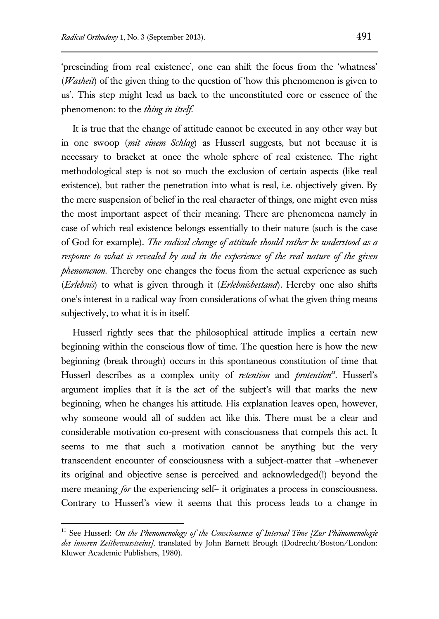'prescinding from real existence', one can shift the focus from the 'whatness' (*Washeit*) of the given thing to the question of 'how this phenomenon is given to us'. This step might lead us back to the unconstituted core or essence of the phenomenon: to the *thing in itself*.

It is true that the change of attitude cannot be executed in any other way but in one swoop (*mit einem Schlag*) as Husserl suggests, but not because it is necessary to bracket at once the whole sphere of real existence. The right methodological step is not so much the exclusion of certain aspects (like real existence), but rather the penetration into what is real, i.e. objectively given. By the mere suspension of belief in the real character of things, one might even miss the most important aspect of their meaning. There are phenomena namely in case of which real existence belongs essentially to their nature (such is the case of God for example). *The radical change of attitude should rather be understood as a response to what is revealed by and in the experience of the real nature of the given phenomenon*. Thereby one changes the focus from the actual experience as such (*Erlebnis*) to what is given through it (*Erlebnisbestand*). Hereby one also shifts one's interest in a radical way from considerations of what the given thing means subjectively, to what it is in itself.

Husserl rightly sees that the philosophical attitude implies a certain new beginning within the conscious flow of time. The question here is how the new beginning (break through) occurs in this spontaneous constitution of time that Husserl describes as a complex unity of *retention* and *protention<sup>n</sup>*. Husserl's argument implies that it is the act of the subject's will that marks the new beginning, when he changes his attitude. His explanation leaves open, however, why someone would all of sudden act like this. There must be a clear and considerable motivation co-present with consciousness that compels this act. It seems to me that such a motivation cannot be anything but the very transcendent encounter of consciousness with a subject-matter that –whenever its original and objective sense is perceived and acknowledged(!) beyond the mere meaning *for* the experiencing self– it originates a process in consciousness. Contrary to Husserl's view it seems that this process leads to a change in

<sup>11</sup> See Husserl: *On the Phenomenology of the Consciousness of Internal Time [Zur Phänomenologie des inneren Zeitbewusstseins]*, translated by John Barnett Brough (Dodrecht/Boston/London: Kluwer Academic Publishers, 1980).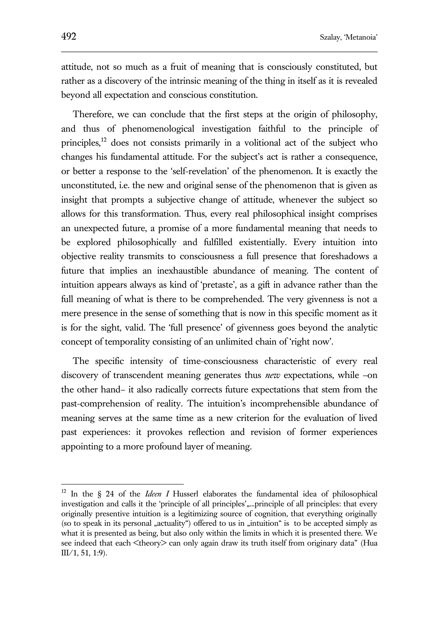attitude, not so much as a fruit of meaning that is consciously constituted, but rather as a discovery of the intrinsic meaning of the thing in itself as it is revealed beyond all expectation and conscious constitution.

Therefore, we can conclude that the first steps at the origin of philosophy, and thus of phenomenological investigation faithful to the principle of principles,<sup>12</sup> does not consists primarily in a volitional act of the subject who changes his fundamental attitude. For the subject's act is rather a consequence, or better a response to the 'self-revelation' of the phenomenon. It is exactly the unconstituted, i.e. the new and original sense of the phenomenon that is given as insight that prompts a subjective change of attitude, whenever the subject so allows for this transformation. Thus, every real philosophical insight comprises an unexpected future, a promise of a more fundamental meaning that needs to be explored philosophically and fulfilled existentially. Every intuition into objective reality transmits to consciousness a full presence that foreshadows a future that implies an inexhaustible abundance of meaning. The content of intuition appears always as kind of 'pretaste', as a gift in advance rather than the full meaning of what is there to be comprehended. The very givenness is not a mere presence in the sense of something that is now in this specific moment as it is for the sight, valid. The 'full presence' of givenness goes beyond the analytic concept of temporality consisting of an unlimited chain of 'right now'.

The specific intensity of time-consciousness characteristic of every real discovery of transcendent meaning generates thus *new* expectations, while –on the other hand– it also radically corrects future expectations that stem from the past-comprehension of reality. The intuition's incomprehensible abundance of meaning serves at the same time as a new criterion for the evaluation of lived past experiences: it provokes reflection and revision of former experiences appointing to a more profound layer of meaning.

<sup>&</sup>lt;sup>12</sup> In the § 24 of the *Ideen I* Husserl elaborates the fundamental idea of philosophical investigation and calls it the 'principle of all principles',....principle of all principles: that every originally presentive intuition is a legitimizing source of cognition, that everything originally (so to speak in its personal "actuality") offered to us in "intuition" is to be accepted simply as what it is presented as being, but also only within the limits in which it is presented there. We see indeed that each <theory> can only again draw its truth itself from originary data" (Hua III/1, 51, 1:9).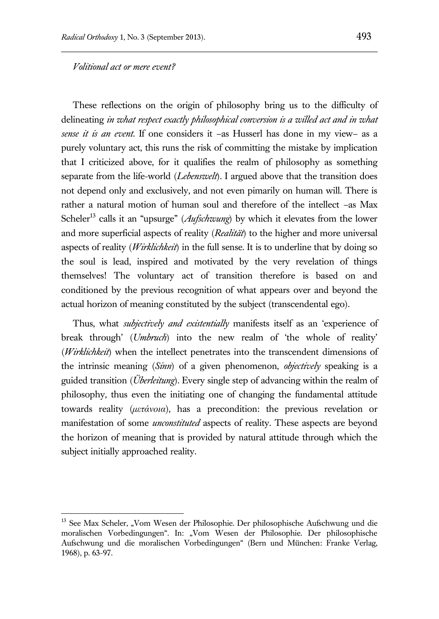#### *Volitional act or mere event?*

 $\overline{a}$ 

These reflections on the origin of philosophy bring us to the difficulty of delineating *in what respect exactly philosophical conversion is a willed act and in what sense it is an event.* If one considers it –as Husserl has done in my view– as a purely voluntary act, this runs the risk of committing the mistake by implication that I criticized above, for it qualifies the realm of philosophy as something separate from the life-world (*Lebenswelt*). I argued above that the transition does not depend only and exclusively, and not even pimarily on human will. There is rather a natural motion of human soul and therefore of the intellect –as Max Scheler<sup>13</sup> calls it an "upsurge" (*Aufschwung*) by which it elevates from the lower and more superficial aspects of reality (*Realität*) to the higher and more universal aspects of reality (*Wirklichkeit*) in the full sense. It is to underline that by doing so the soul is lead, inspired and motivated by the very revelation of things themselves! The voluntary act of transition therefore is based on and conditioned by the previous recognition of what appears over and beyond the actual horizon of meaning constituted by the subject (transcendental ego).

Thus, what *subjectively and existentially* manifests itself as an 'experience of break through' (*Umbruch*) into the new realm of 'the whole of reality' (*Wirklichkeit*) when the intellect penetrates into the transcendent dimensions of the intrinsic meaning (*Sinn*) of a given phenomenon, *objectively* speaking is a guided transition (*Überleitung*). Every single step of advancing within the realm of philosophy, thus even the initiating one of changing the fundamental attitude towards reality (*μετάνοια*), has a precondition: the previous revelation or manifestation of some *unconstituted* aspects of reality. These aspects are beyond the horizon of meaning that is provided by natural attitude through which the subject initially approached reality.

<sup>&</sup>lt;sup>13</sup> See Max Scheler, "Vom Wesen der Philosophie. Der philosophische Aufschwung und die moralischen Vorbedingungen". In: "Vom Wesen der Philosophie. Der philosophische Aufschwung und die moralischen Vorbedingungen" (Bern und München: Franke Verlag, 1968), p. 63-97.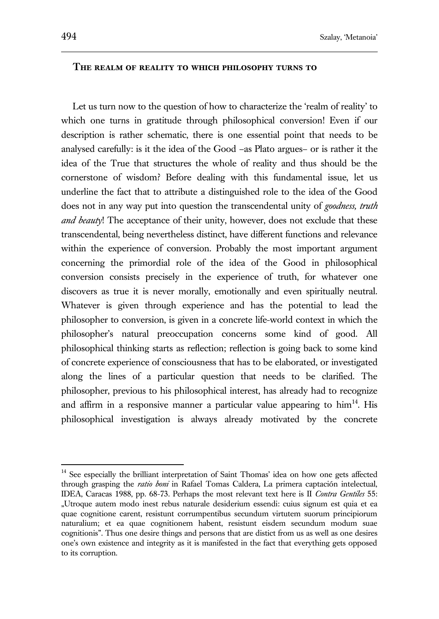#### **The realm of reality to which philosophy turns to**

Let us turn now to the question of how to characterize the 'realm of reality' to which one turns in gratitude through philosophical conversion! Even if our description is rather schematic, there is one essential point that needs to be analysed carefully: is it the idea of the Good –as Plato argues– or is rather it the idea of the True that structures the whole of reality and thus should be the cornerstone of wisdom? Before dealing with this fundamental issue, let us underline the fact that to attribute a distinguished role to the idea of the Good does not in any way put into question the transcendental unity of *goodness, truth and beauty*! The acceptance of their unity, however, does not exclude that these transcendental, being nevertheless distinct, have different functions and relevance within the experience of conversion. Probably the most important argument concerning the primordial role of the idea of the Good in philosophical conversion consists precisely in the experience of truth, for whatever one discovers as true it is never morally, emotionally and even spiritually neutral. Whatever is given through experience and has the potential to lead the philosopher to conversion, is given in a concrete life-world context in which the philosopher's natural preoccupation concerns some kind of good. All philosophical thinking starts as reflection; reflection is going back to some kind of concrete experience of consciousness that has to be elaborated, or investigated along the lines of a particular question that needs to be clarified. The philosopher, previous to his philosophical interest, has already had to recognize and affirm in a responsive manner a particular value appearing to  $\lim^{14}$ . His philosophical investigation is always already motivated by the concrete

<sup>&</sup>lt;sup>14</sup> See especially the brilliant interpretation of Saint Thomas' idea on how one gets affected through grasping the *ratio boni* in Rafael Tomas Caldera, La primera captación intelectual, IDEA, Caracas 1988, pp. 68-73. Perhaps the most relevant text here is II *Contra Gentiles* 55: "Utroque autem modo inest rebus naturale desiderium essendi: cuius signum est quia et ea quae cognitione carent, resistunt corrumpentibus secundum virtutem suorum principiorum naturalium; et ea quae cognitionem habent, resistunt eisdem secundum modum suae cognitionis". Thus one desire things and persons that are distict from us as well as one desires one's own existence and integrity as it is manifested in the fact that everything gets opposed to its corruption.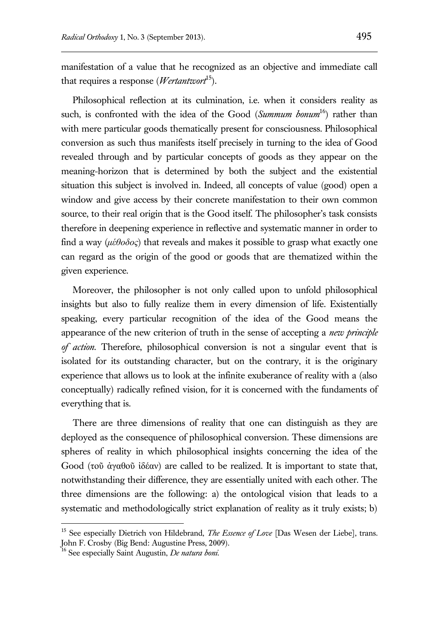manifestation of a value that he recognized as an objective and immediate call that requires a response (*Wertantwort*<sup>15</sup>).

Philosophical reflection at its culmination, i.e. when it considers reality as such, is confronted with the idea of the Good (*Summum bonum*<sup>16</sup>) rather than with mere particular goods thematically present for consciousness. Philosophical conversion as such thus manifests itself precisely in turning to the idea of Good revealed through and by particular concepts of goods as they appear on the meaning-horizon that is determined by both the subject and the existential situation this subject is involved in. Indeed, all concepts of value (good) open a window and give access by their concrete manifestation to their own common source, to their real origin that is the Good itself. The philosopher's task consists therefore in deepening experience in reflective and systematic manner in order to find a way (*μέθοδος*) that reveals and makes it possible to grasp what exactly one can regard as the origin of the good or goods that are thematized within the given experience.

Moreover, the philosopher is not only called upon to unfold philosophical insights but also to fully realize them in every dimension of life. Existentially speaking, every particular recognition of the idea of the Good means the appearance of the new criterion of truth in the sense of accepting a *new principle of action*. Therefore, philosophical conversion is not a singular event that is isolated for its outstanding character, but on the contrary, it is the originary experience that allows us to look at the infinite exuberance of reality with a (also conceptually) radically refined vision, for it is concerned with the fundaments of everything that is.

There are three dimensions of reality that one can distinguish as they are deployed as the consequence of philosophical conversion. These dimensions are spheres of reality in which philosophical insights concerning the idea of the Good (τοῦ ἀγαθοῦ ἰδέαν) are called to be realized. It is important to state that, notwithstanding their difference, they are essentially united with each other. The three dimensions are the following: a) the ontological vision that leads to a systematic and methodologically strict explanation of reality as it truly exists; b)

<sup>&</sup>lt;sup>15</sup> See especially Dietrich von Hildebrand, *The Essence of Love* [Das Wesen der Liebe], trans. John F. Crosby (Big Bend: Augustine Press, 2009).

<sup>16</sup> See especially Saint Augustin, *De natura boni*.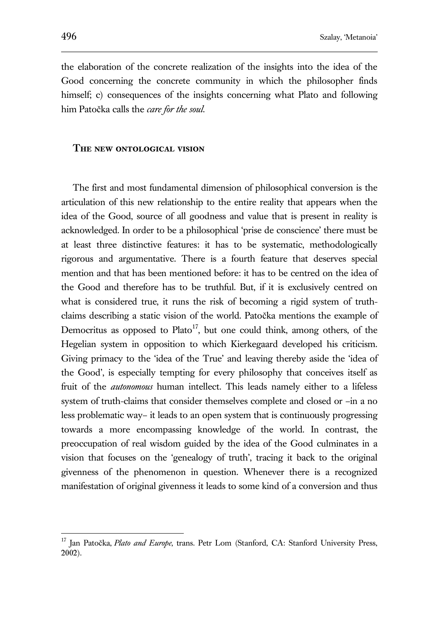the elaboration of the concrete realization of the insights into the idea of the Good concerning the concrete community in which the philosopher finds himself; c) consequences of the insights concerning what Plato and following him Patočka calls the *care for the soul*.

#### **The new ontological vision**

The first and most fundamental dimension of philosophical conversion is the articulation of this new relationship to the entire reality that appears when the idea of the Good, source of all goodness and value that is present in reality is acknowledged. In order to be a philosophical 'prise de conscience' there must be at least three distinctive features: it has to be systematic, methodologically rigorous and argumentative. There is a fourth feature that deserves special mention and that has been mentioned before: it has to be centred on the idea of the Good and therefore has to be truthful. But, if it is exclusively centred on what is considered true, it runs the risk of becoming a rigid system of truthclaims describing a static vision of the world. Patočka mentions the example of Democritus as opposed to Plato<sup>17</sup>, but one could think, among others, of the Hegelian system in opposition to which Kierkegaard developed his criticism. Giving primacy to the 'idea of the True' and leaving thereby aside the 'idea of the Good', is especially tempting for every philosophy that conceives itself as fruit of the *autonomous* human intellect. This leads namely either to a lifeless system of truth-claims that consider themselves complete and closed or –in a no less problematic way– it leads to an open system that is continuously progressing towards a more encompassing knowledge of the world. In contrast, the preoccupation of real wisdom guided by the idea of the Good culminates in a vision that focuses on the 'genealogy of truth', tracing it back to the original givenness of the phenomenon in question. Whenever there is a recognized manifestation of original givenness it leads to some kind of a conversion and thus

<sup>&</sup>lt;sup>17</sup> Jan Patočka, *Plato and Europe*, trans. Petr Lom (Stanford, CA: Stanford University Press, 2002).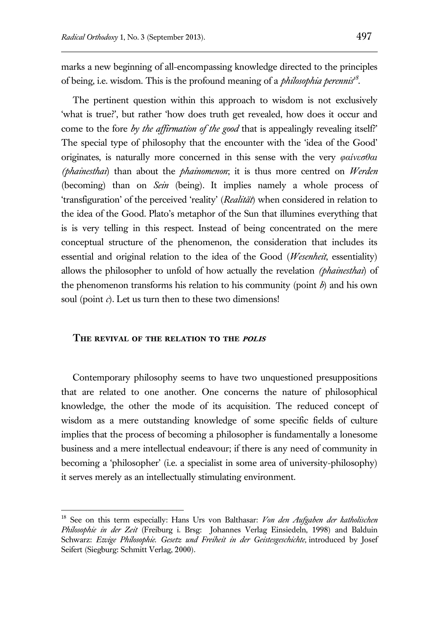marks a new beginning of all-encompassing knowledge directed to the principles of being, i.e. wisdom. This is the profound meaning of a *philosophia perennis<sup>18</sup>* .

The pertinent question within this approach to wisdom is not exclusively 'what is true?', but rather 'how does truth get revealed, how does it occur and come to the fore *by the affirmation of the good* that is appealingly revealing itself?' The special type of philosophy that the encounter with the 'idea of the Good' originates, is naturally more concerned in this sense with the very *φαίνεσθαι (phainesthai*) than about the *phainomenon*; it is thus more centred on *Werden* (becoming) than on *Sein* (being). It implies namely a whole process of 'transfiguration' of the perceived 'reality' (*Realität*) when considered in relation to the idea of the Good. Plato's metaphor of the Sun that illumines everything that is is very telling in this respect. Instead of being concentrated on the mere conceptual structure of the phenomenon, the consideration that includes its essential and original relation to the idea of the Good (*Wesenheit*, essentiality) allows the philosopher to unfold of how actually the revelation *(phainesthai*) of the phenomenon transforms his relation to his community (point *b*) and his own soul (point *c*). Let us turn then to these two dimensions!

#### **The revival of the relation to the polis**

 $\overline{a}$ 

Contemporary philosophy seems to have two unquestioned presuppositions that are related to one another. One concerns the nature of philosophical knowledge, the other the mode of its acquisition. The reduced concept of wisdom as a mere outstanding knowledge of some specific fields of culture implies that the process of becoming a philosopher is fundamentally a lonesome business and a mere intellectual endeavour; if there is any need of community in becoming a 'philosopher' (i.e. a specialist in some area of university-philosophy) it serves merely as an intellectually stimulating environment.

<sup>18</sup> See on this term especially: Hans Urs von Balthasar: *Von den Aufgaben der katholischen Philosophie in der Zeit* (Freiburg i. Brsg: Johannes Verlag Einsiedeln, 1998) and Balduin Schwarz: *Ewige Philosophie. Gesetz und Freiheit in der Geistesgeschichte,* introduced by Josef Seifert (Siegburg: Schmitt Verlag, 2000).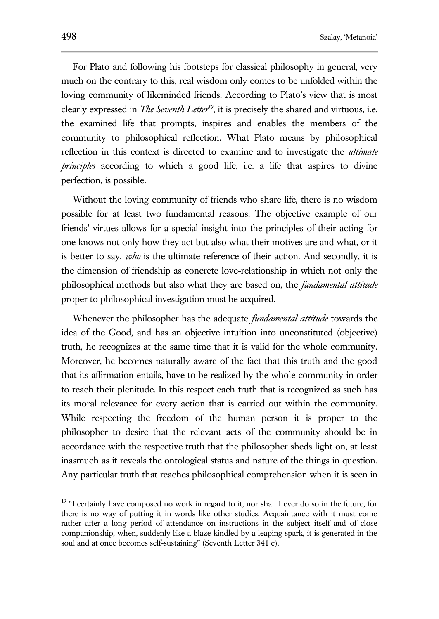For Plato and following his footsteps for classical philosophy in general, very much on the contrary to this, real wisdom only comes to be unfolded within the loving community of likeminded friends. According to Plato's view that is most clearly expressed in *The Seventh Letter<sup>19</sup>*, it is precisely the shared and virtuous, i.e. the examined life that prompts, inspires and enables the members of the community to philosophical reflection. What Plato means by philosophical reflection in this context is directed to examine and to investigate the *ultimate principles* according to which a good life, i.e. a life that aspires to divine perfection, is possible.

Without the loving community of friends who share life, there is no wisdom possible for at least two fundamental reasons. The objective example of our friends' virtues allows for a special insight into the principles of their acting for one knows not only how they act but also what their motives are and what, or it is better to say, *who* is the ultimate reference of their action. And secondly, it is the dimension of friendship as concrete love-relationship in which not only the philosophical methods but also what they are based on, the *fundamental attitude*  proper to philosophical investigation must be acquired.

Whenever the philosopher has the adequate *fundamental attitude* towards the idea of the Good, and has an objective intuition into unconstituted (objective) truth, he recognizes at the same time that it is valid for the whole community. Moreover, he becomes naturally aware of the fact that this truth and the good that its affirmation entails, have to be realized by the whole community in order to reach their plenitude. In this respect each truth that is recognized as such has its moral relevance for every action that is carried out within the community. While respecting the freedom of the human person it is proper to the philosopher to desire that the relevant acts of the community should be in accordance with the respective truth that the philosopher sheds light on, at least inasmuch as it reveals the ontological status and nature of the things in question. Any particular truth that reaches philosophical comprehension when it is seen in

<sup>&</sup>lt;sup>19</sup> "I certainly have composed no work in regard to it, nor shall I ever do so in the future, for there is no way of putting it in words like other studies. Acquaintance with it must come rather after a long period of attendance on instructions in the subject itself and of close companionship, when, suddenly like a blaze kindled by a leaping spark, it is generated in the soul and at once becomes self-sustaining" (Seventh Letter 341 c).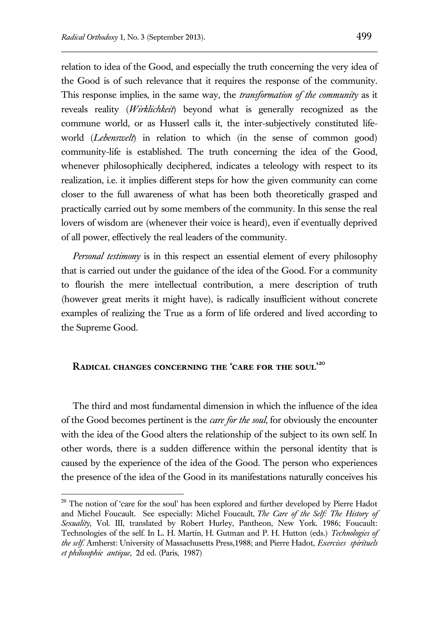relation to idea of the Good, and especially the truth concerning the very idea of the Good is of such relevance that it requires the response of the community. This response implies, in the same way, the *transformation of the community* as it reveals reality (*Wirklichkeit*) beyond what is generally recognized as the commune world, or as Husserl calls it, the inter-subjectively constituted lifeworld (*Lebenswelt*) in relation to which (in the sense of common good) community-life is established. The truth concerning the idea of the Good, whenever philosophically deciphered, indicates a teleology with respect to its realization, i.e. it implies different steps for how the given community can come closer to the full awareness of what has been both theoretically grasped and practically carried out by some members of the community. In this sense the real lovers of wisdom are (whenever their voice is heard), even if eventually deprived of all power, effectively the real leaders of the community.

*Personal testimony* is in this respect an essential element of every philosophy that is carried out under the guidance of the idea of the Good. For a community to flourish the mere intellectual contribution, a mere description of truth (however great merits it might have), is radically insufficient without concrete examples of realizing the True as a form of life ordered and lived according to the Supreme Good.

# **Radical changes concerning the 'care for the soul'<sup>20</sup>**

 $\overline{a}$ 

The third and most fundamental dimension in which the influence of the idea of the Good becomes pertinent is the *care for the soul*, for obviously the encounter with the idea of the Good alters the relationship of the subject to its own self. In other words, there is a sudden difference within the personal identity that is caused by the experience of the idea of the Good. The person who experiences the presence of the idea of the Good in its manifestations naturally conceives his

<sup>&</sup>lt;sup>20</sup> The notion of 'care for the soul' has been explored and further developed by Pierre Hadot and Michel Foucault. See especially: Michel Foucault, *The Care of the Self: The History of Sexuality*, Vol. III, translated by Robert Hurley, Pantheon, New York. 1986; Foucault: Technologies of the self. In L. H. Martin, H. Gutman and P. H. Hutton (eds.) *Technologies of the self*. Amherst: University of Massachusetts Press,1988; and Pierre Hadot, *Exercises spirituels et philosophie antique*, 2d ed. (Paris, 1987)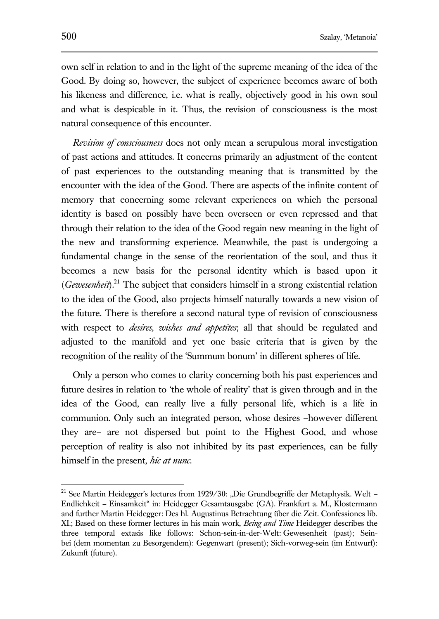own self in relation to and in the light of the supreme meaning of the idea of the Good. By doing so, however, the subject of experience becomes aware of both his likeness and difference, i.e. what is really, objectively good in his own soul and what is despicable in it. Thus, the revision of consciousness is the most natural consequence of this encounter.

*Revision of consciousness* does not only mean a scrupulous moral investigation of past actions and attitudes. It concerns primarily an adjustment of the content of past experiences to the outstanding meaning that is transmitted by the encounter with the idea of the Good. There are aspects of the infinite content of memory that concerning some relevant experiences on which the personal identity is based on possibly have been overseen or even repressed and that through their relation to the idea of the Good regain new meaning in the light of the new and transforming experience. Meanwhile, the past is undergoing a fundamental change in the sense of the reorientation of the soul, and thus it becomes a new basis for the personal identity which is based upon it (*Gewesenheit*).<sup>21</sup> The subject that considers himself in a strong existential relation to the idea of the Good, also projects himself naturally towards a new vision of the future. There is therefore a second natural type of revision of consciousness with respect to *desires, wishes and appetites*; all that should be regulated and adjusted to the manifold and yet one basic criteria that is given by the recognition of the reality of the 'Summum bonum' in different spheres of life.

Only a person who comes to clarity concerning both his past experiences and future desires in relation to 'the whole of reality' that is given through and in the idea of the Good, can really live a fully personal life, which is a life in communion. Only such an integrated person, whose desires –however different they are– are not dispersed but point to the Highest Good, and whose perception of reality is also not inhibited by its past experiences, can be fully himself in the present, *hic at nunc*.

<sup>&</sup>lt;sup>21</sup> See Martin Heidegger's lectures from 1929/30: "Die Grundbegriffe der Metaphysik. Welt -Endlichkeit – Einsamkeit" in: Heidegger Gesamtausgabe (GA). Frankfurt a. M., Klostermann and further Martin Heidegger: Des hl. Augustinus Betrachtung über die Zeit. Confessiones lib. XI.; Based on these former lectures in his main work, *Being and Time* Heidegger describes the three temporal extasis like follows: Schon-sein-in-der-Welt: Gewesenheit (past); Seinbei (dem momentan zu Besorgendem): Gegenwart (present); Sich-vorweg-sein (im Entwurf): Zukunft (future).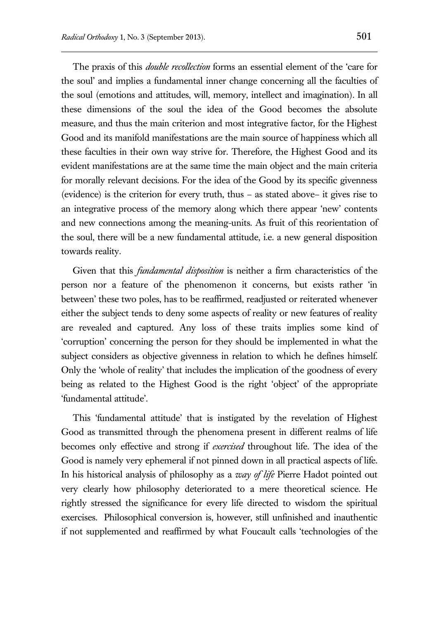The praxis of this *double recollection* forms an essential element of the 'care for the soul' and implies a fundamental inner change concerning all the faculties of the soul (emotions and attitudes, will, memory, intellect and imagination). In all these dimensions of the soul the idea of the Good becomes the absolute measure, and thus the main criterion and most integrative factor, for the Highest Good and its manifold manifestations are the main source of happiness which all these faculties in their own way strive for. Therefore, the Highest Good and its evident manifestations are at the same time the main object and the main criteria for morally relevant decisions. For the idea of the Good by its specific givenness (evidence) is the criterion for every truth, thus – as stated above– it gives rise to an integrative process of the memory along which there appear 'new' contents and new connections among the meaning-units. As fruit of this reorientation of the soul, there will be a new fundamental attitude, i.e. a new general disposition towards reality.

Given that this *fundamental disposition* is neither a firm characteristics of the person nor a feature of the phenomenon it concerns, but exists rather 'in between' these two poles, has to be reaffirmed, readjusted or reiterated whenever either the subject tends to deny some aspects of reality or new features of reality are revealed and captured. Any loss of these traits implies some kind of 'corruption' concerning the person for they should be implemented in what the subject considers as objective givenness in relation to which he defines himself. Only the 'whole of reality' that includes the implication of the goodness of every being as related to the Highest Good is the right 'object' of the appropriate 'fundamental attitude'.

This 'fundamental attitude' that is instigated by the revelation of Highest Good as transmitted through the phenomena present in different realms of life becomes only effective and strong if *exercised* throughout life. The idea of the Good is namely very ephemeral if not pinned down in all practical aspects of life. In his historical analysis of philosophy as a *way of life* Pierre Hadot pointed out very clearly how philosophy deteriorated to a mere theoretical science. He rightly stressed the significance for every life directed to wisdom the spiritual exercises. Philosophical conversion is, however, still unfinished and inauthentic if not supplemented and reaffirmed by what Foucault calls 'technologies of the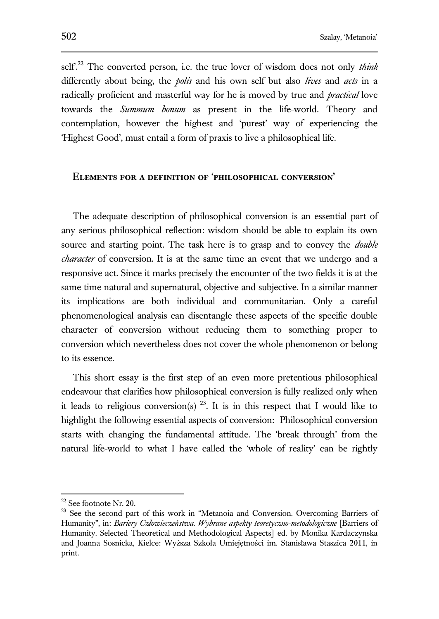self'.<sup>22</sup> The converted person, i.e. the true lover of wisdom does not only *think* differently about being, the *polis* and his own self but also *lives* and *acts* in a radically proficient and masterful way for he is moved by true and *practical* love towards the *Summum bonum* as present in the life-world. Theory and contemplation, however the highest and 'purest' way of experiencing the 'Highest Good', must entail a form of praxis to live a philosophical life.

## **Elements for a definition of 'philosophical conversion'**

The adequate description of philosophical conversion is an essential part of any serious philosophical reflection: wisdom should be able to explain its own source and starting point. The task here is to grasp and to convey the *double character* of conversion. It is at the same time an event that we undergo and a responsive act. Since it marks precisely the encounter of the two fields it is at the same time natural and supernatural, objective and subjective. In a similar manner its implications are both individual and communitarian. Only a careful phenomenological analysis can disentangle these aspects of the specific double character of conversion without reducing them to something proper to conversion which nevertheless does not cover the whole phenomenon or belong to its essence.

This short essay is the first step of an even more pretentious philosophical endeavour that clarifies how philosophical conversion is fully realized only when it leads to religious conversion(s)  $^{23}$ . It is in this respect that I would like to highlight the following essential aspects of conversion: Philosophical conversion starts with changing the fundamental attitude. The 'break through' from the natural life-world to what I have called the 'whole of reality' can be rightly

 $22$  See footnote Nr. 20.

<sup>&</sup>lt;sup>23</sup> See the second part of this work in "Metanoia and Conversion. Overcoming Barriers of Humanity", in: *Bariery Człowieczeństwa. Wybrane aspekty teoretyczno-metodologiczne* [Barriers of Humanity. Selected Theoretical and Methodological Aspects] ed. by Monika Kardaczynska and Joanna Sosnicka, Kielce: Wyższa Szkoła Umiejętności im. Stanisława Staszica 2011, in print.